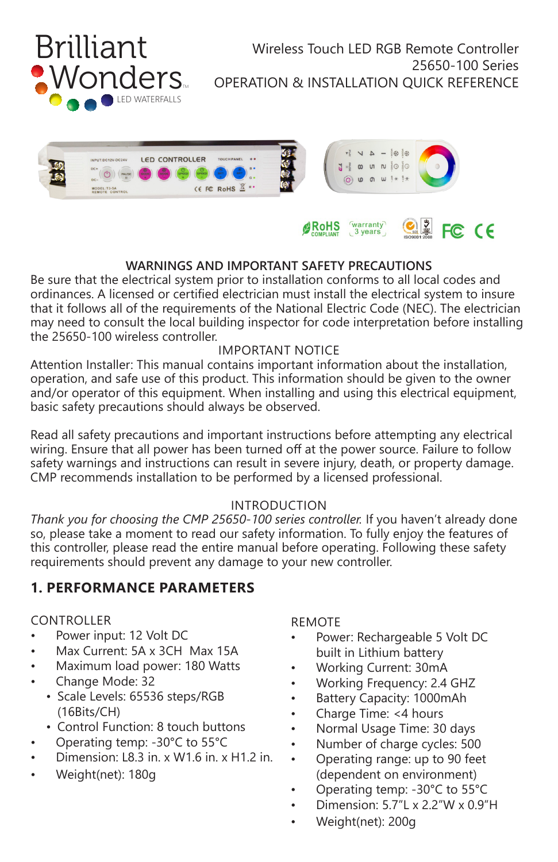



#### **BoHS** warranty<br>3 years  $C<sub>2</sub>$  FC CE

## **WARNINGS AND IMPORTANT SAFETY PRECAUTIONS**

Be sure that the electrical system prior to installation conforms to all local codes and ordinances. A licensed or certified electrician must install the electrical system to insure that it follows all of the requirements of the National Electric Code (NEC). The electrician may need to consult the local building inspector for code interpretation before installing the 25650-100 wireless controller.

#### IMPORTANT NOTICE

Attention Installer: This manual contains important information about the installation, operation, and safe use of this product. This information should be given to the owner and/or operator of this equipment. When installing and using this electrical equipment, basic safety precautions should always be observed.

Read all safety precautions and important instructions before attempting any electrical wiring. Ensure that all power has been turned off at the power source. Failure to follow safety warnings and instructions can result in severe injury, death, or property damage. CMP recommends installation to be performed by a licensed professional.

## INTRODUCTION

*Thank you for choosing the CMP 25650-100 series controller.* If you haven't already done so, please take a moment to read our safety information. To fully enjoy the features of this controller, please read the entire manual before operating. Following these safety requirements should prevent any damage to your new controller.

# **1. PERFORMANCE PARAMETERS**

#### CONTROLLER

- Power input: 12 Volt DC
- Max Current: 5A x 3CH Max 15A
- Maximum load power: 180 Watts
- Change Mode: 32
	- Scale Levels: 65536 steps/RGB (16Bits/CH)
	- Control Function: 8 touch buttons
- Operating temp: -30°C to 55°C
- Dimension: L8.3 in. x W1.6 in. x H1.2 in.
- Weight(net): 180g

## REMOTE

- Power: Rechargeable 5 Volt DC built in Lithium battery
- Working Current: 30mA
- Working Frequency: 2.4 GHZ
- Battery Capacity: 1000mAh
- Charge Time: <4 hours
- Normal Usage Time: 30 days
- Number of charge cycles: 500
- Operating range: up to 90 feet (dependent on environment)
- Operating temp: -30°C to 55°C
- Dimension: 5.7"L x 2.2"W x 0.9"H
- Weight(net): 200g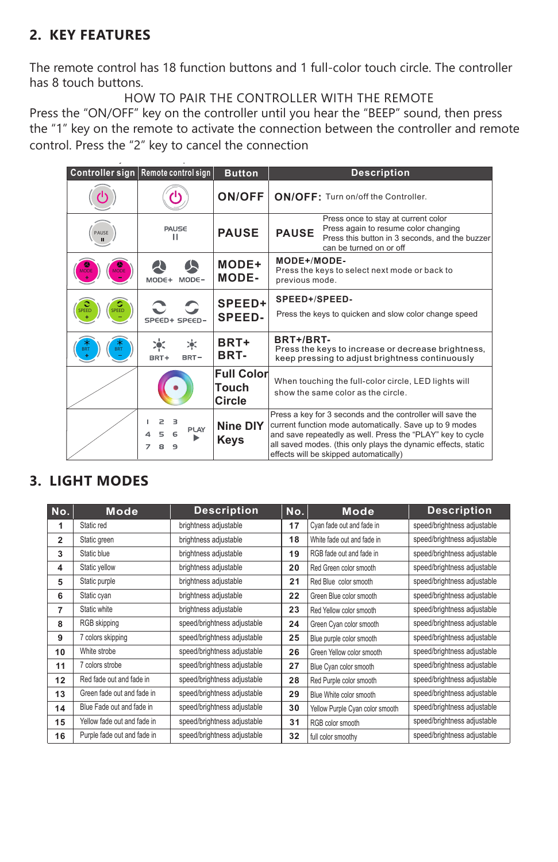# **2. KEY FEATURES**

set successfully when heard takq

The remote control has 18 function buttons and 1 full-color touch circle. The controller has 8 touch buttons.

HOW TO PAIR THE CONTROLLER WITH THE REMOTE Press the "ON/OFF" key on the controller until you hear the "BEEP" sound, then press the "1" key on the remote to activate the connection between the controller and remote control. Press the "2" key to cancel the connection

|             | Controller sign   Remote control sign   | <b>Button</b>                        | <b>Description</b>                                                                                                                                                                                                                                                                             |  |  |
|-------------|-----------------------------------------|--------------------------------------|------------------------------------------------------------------------------------------------------------------------------------------------------------------------------------------------------------------------------------------------------------------------------------------------|--|--|
|             |                                         | <b>ON/OFF</b>                        | ON/OFF: Turn on/off the Controller.                                                                                                                                                                                                                                                            |  |  |
| PAUSE<br>п  | PAUSE<br>ш                              | <b>PAUSE</b>                         | Press once to stay at current color<br>Press again to resume color changing<br><b>PAUSE</b><br>Press this button in 3 seconds, and the buzzer<br>can be turned on or off                                                                                                                       |  |  |
| <b>MODE</b> | $MODE+$<br>$MODE -$                     | MODE+<br>MODE-                       | MODE+/MODE-<br>Press the keys to select next mode or back to<br>previous mode.                                                                                                                                                                                                                 |  |  |
| SPEED       | SPEED+ SPEED-                           | SPEED+<br><b>SPEED-</b>              | SPEED+/SPEED-<br>Press the keys to quicken and slow color change speed                                                                                                                                                                                                                         |  |  |
| e<br>BRT    | 冰<br>BRT-<br>BRT+                       | BRT+<br>BRT-                         | BRT+/BRT-<br>Press the keys to increase or decrease brightness,<br>keep pressing to adjust brightness continuously                                                                                                                                                                             |  |  |
|             |                                         | <b>Full Color</b><br>Touch<br>Circle | When touching the full-color circle, LED lights will<br>show the same color as the circle.                                                                                                                                                                                                     |  |  |
|             | $\geq$<br>3<br>PLAY<br>Δ<br>7<br>8<br>۹ | <b>Nine DIY</b><br>Keys              | Press a key for 3 seconds and the controller will save the<br>current function mode automatically. Save up to 9 modes<br>and save repeatedly as well. Press the "PLAY" key to cycle<br>all saved modes. (this only plays the dynamic effects, static<br>effects will be skipped automatically) |  |  |

# **3. LIGHT MODES**

| No.          | Mode                        | <b>Description</b>          | No. | <b>Mode</b>                     | <b>Description</b>          |
|--------------|-----------------------------|-----------------------------|-----|---------------------------------|-----------------------------|
| 1            | Static red                  | brightness adjustable       | 17  | Cyan fade out and fade in       | speed/brightness adjustable |
| $\mathbf{2}$ | Static green                | brightness adjustable       | 18  | White fade out and fade in      | speed/brightness adjustable |
| 3            | Static blue                 | brightness adjustable       | 19  | RGB fade out and fade in        | speed/brightness adjustable |
| 4            | Static yellow               | brightness adjustable       | 20  | Red Green color smooth          | speed/brightness adjustable |
| 5            | Static purple               | brightness adjustable       | 21  | Red Blue color smooth           | speed/brightness adjustable |
| 6            | Static cyan                 | brightness adjustable       | 22  | Green Blue color smooth         | speed/brightness adjustable |
| 7            | Static white                | brightness adjustable       | 23  | Red Yellow color smooth         | speed/brightness adjustable |
| 8            | RGB skipping                | speed/brightness adjustable | 24  | Green Cyan color smooth         | speed/brightness adjustable |
| 9            | 7 colors skipping           | speed/brightness adjustable | 25  | Blue purple color smooth        | speed/brightness adjustable |
| 10           | White strobe                | speed/brightness adjustable | 26  | Green Yellow color smooth       | speed/brightness adjustable |
| 11           | 7 colors strobe             | speed/brightness adjustable | 27  | Blue Cyan color smooth          | speed/brightness adjustable |
| 12           | Red fade out and fade in    | speed/brightness adjustable | 28  | Red Purple color smooth         | speed/brightness adjustable |
| 13           | Green fade out and fade in  | speed/brightness adjustable | 29  | Blue White color smooth         | speed/brightness adjustable |
| 14           | Blue Fade out and fade in   | speed/brightness adjustable | 30  | Yellow Purple Cyan color smooth | speed/brightness adjustable |
| 15           | Yellow fade out and fade in | speed/brightness adjustable | 31  | RGB color smooth                | speed/brightness adjustable |
| 16           | Purple fade out and fade in | speed/brightness adjustable | 32  | full color smoothy              | speed/brightness adjustable |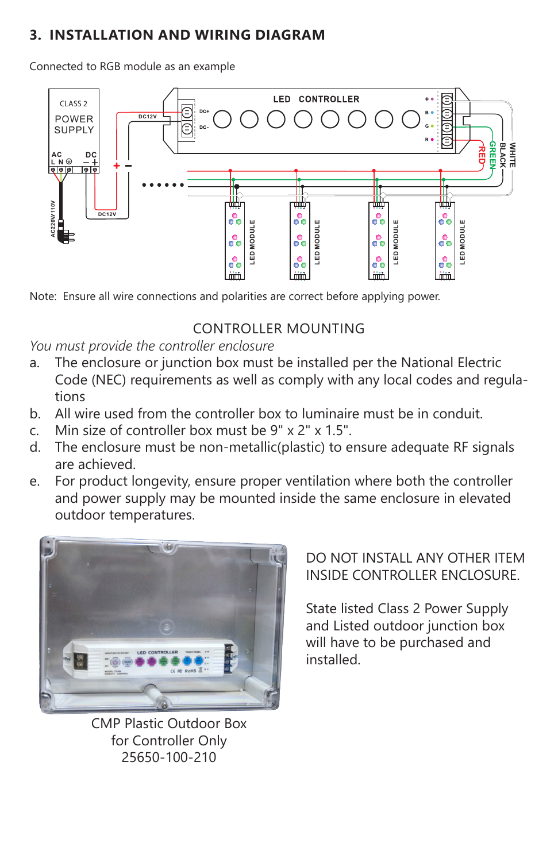# **3. INSTALLATION AND WIRING DIAGRAM**

Connected to RGB module as an example



Note: Ensure all wire connections and polarities are correct before applying power.

# CONTROLLER MOUNTING

*You must provide the controller enclosure*

- a. The enclosure or junction box must be installed per the National Electric Code (NEC) requirements as well as comply with any local codes and regulations
- b. All wire used from the controller box to luminaire must be in conduit.
- c. Min size of controller box must be 9" x 2" x 1.5".
- d. The enclosure must be non-metallic(plastic) to ensure adequate RF signals are achieved.
- e. For product longevity, ensure proper ventilation where both the controller and power supply may be mounted inside the same enclosure in elevated outdoor temperatures.



CMP Plastic Outdoor Box for Controller Only 25650-100-210

# DO NOT INSTALL ANY OTHER ITEM INSIDE CONTROLLER ENCLOSURE.

State listed Class 2 Power Supply and Listed outdoor junction box will have to be purchased and installed.